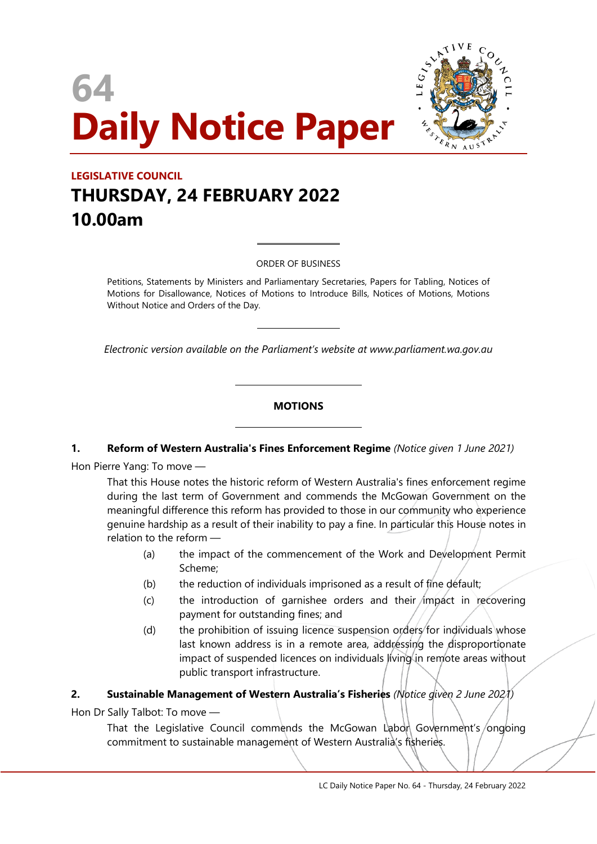



# **LEGISLATIVE COUNCIL THURSDAY, 24 FEBRUARY 2022 10.00am**

ORDER OF BUSINESS

 $\overline{a}$ 

 $\overline{a}$ 

 $\overline{\phantom{a}}$ 

 $\overline{\phantom{a}}$ 

Petitions, Statements by Ministers and Parliamentary Secretaries, Papers for Tabling, Notices of Motions for Disallowance, Notices of Motions to Introduce Bills, Notices of Motions, Motions Without Notice and Orders of the Day.

*Electronic version available on the Parliament's website at www.parliament.wa.gov.au*

#### **MOTIONS**

#### **1. Reform of Western Australia's Fines Enforcement Regime** *(Notice given 1 June 2021)*

Hon Pierre Yang: To move —

That this House notes the historic reform of Western Australia's fines enforcement regime during the last term of Government and commends the McGowan Government on the meaningful difference this reform has provided to those in our community who experience genuine hardship as a result of their inability to pay a fine. In particular this House notes in relation to the reform —

- (a) the impact of the commencement of the Work and Development Permit Scheme;
- (b) the reduction of individuals imprisoned as a result of fine default;
- $(c)$  the introduction of garnishee orders and their impact in recovering payment for outstanding fines; and
- (d) the prohibition of issuing licence suspension orders for individuals whose last known address is in a remote area, addressing the disproportionate impact of suspended licences on individuals living in remote areas without public transport infrastructure.

#### **2. Sustainable Management of Western Australia's Fisheries** *(Notice given 2 June 2021)*

Hon Dr Sally Talbot: To move —

That the Legislative Council commends the McGowan Labon Government's/ongoing commitment to sustainable management of Western Australia's fisheries.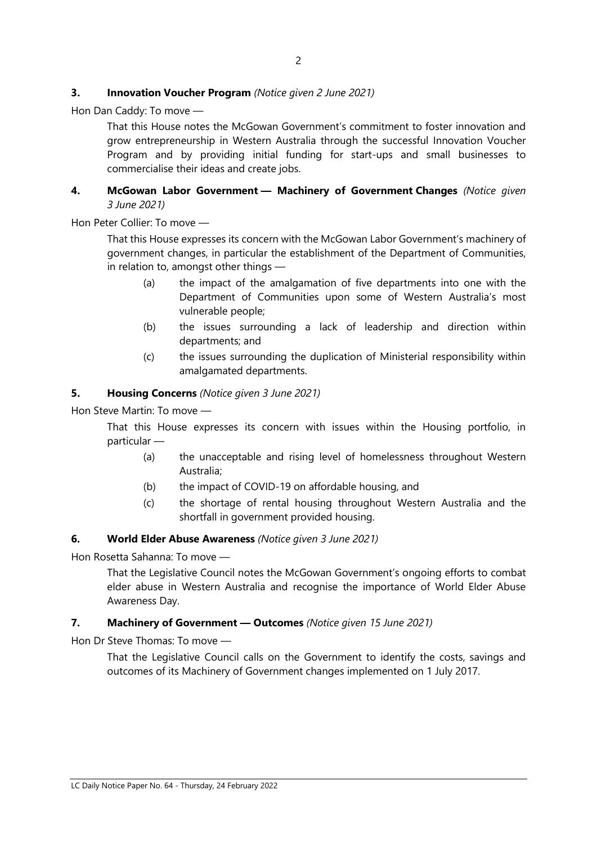# **3. Innovation Voucher Program** *(Notice given 2 June 2021)*

Hon Dan Caddy: To move —

That this House notes the McGowan Government's commitment to foster innovation and grow entrepreneurship in Western Australia through the successful Innovation Voucher Program and by providing initial funding for start-ups and small businesses to commercialise their ideas and create jobs.

# **4. McGowan Labor Government — Machinery of Government Changes** *(Notice given 3 June 2021)*

Hon Peter Collier: To move —

That this House expresses its concern with the McGowan Labor Government's machinery of government changes, in particular the establishment of the Department of Communities, in relation to, amongst other things —

- (a) the impact of the amalgamation of five departments into one with the Department of Communities upon some of Western Australia's most vulnerable people;
- (b) the issues surrounding a lack of leadership and direction within departments; and
- (c) the issues surrounding the duplication of Ministerial responsibility within amalgamated departments.

#### **5. Housing Concerns** *(Notice given 3 June 2021)*

Hon Steve Martin: To move —

That this House expresses its concern with issues within the Housing portfolio, in particular —

- (a) the unacceptable and rising level of homelessness throughout Western Australia;
- (b) the impact of COVID-19 on affordable housing, and
- (c) the shortage of rental housing throughout Western Australia and the shortfall in government provided housing.

#### **6. World Elder Abuse Awareness** *(Notice given 3 June 2021)*

Hon Rosetta Sahanna: To move —

That the Legislative Council notes the McGowan Government's ongoing efforts to combat elder abuse in Western Australia and recognise the importance of World Elder Abuse Awareness Day.

#### **7. Machinery of Government — Outcomes** *(Notice given 15 June 2021)*

Hon Dr Steve Thomas: To move —

That the Legislative Council calls on the Government to identify the costs, savings and outcomes of its Machinery of Government changes implemented on 1 July 2017.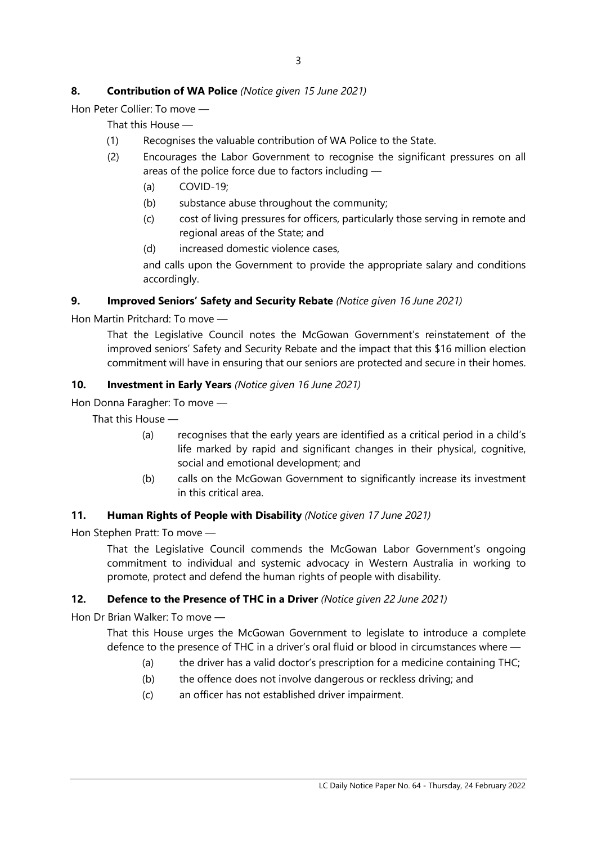# **8. Contribution of WA Police** *(Notice given 15 June 2021)*

Hon Peter Collier: To move —

That this House —

- (1) Recognises the valuable contribution of WA Police to the State.
- (2) Encourages the Labor Government to recognise the significant pressures on all areas of the police force due to factors including —
	- (a) COVID-19;
	- (b) substance abuse throughout the community;
	- (c) cost of living pressures for officers, particularly those serving in remote and regional areas of the State; and
	- (d) increased domestic violence cases,

and calls upon the Government to provide the appropriate salary and conditions accordingly.

# **9. Improved Seniors' Safety and Security Rebate** *(Notice given 16 June 2021)*

Hon Martin Pritchard: To move —

That the Legislative Council notes the McGowan Government's reinstatement of the improved seniors' Safety and Security Rebate and the impact that this \$16 million election commitment will have in ensuring that our seniors are protected and secure in their homes.

# **10. Investment in Early Years** *(Notice given 16 June 2021)*

Hon Donna Faragher: To move —

That this House —

- (a) recognises that the early years are identified as a critical period in a child's life marked by rapid and significant changes in their physical, cognitive, social and emotional development; and
- (b) calls on the McGowan Government to significantly increase its investment in this critical area.

#### **11. Human Rights of People with Disability** *(Notice given 17 June 2021)*

Hon Stephen Pratt: To move —

That the Legislative Council commends the McGowan Labor Government's ongoing commitment to individual and systemic advocacy in Western Australia in working to promote, protect and defend the human rights of people with disability.

# **12. Defence to the Presence of THC in a Driver** *(Notice given 22 June 2021)*

Hon Dr Brian Walker: To move —

That this House urges the McGowan Government to legislate to introduce a complete defence to the presence of THC in a driver's oral fluid or blood in circumstances where —

- (a) the driver has a valid doctor's prescription for a medicine containing THC;
- (b) the offence does not involve dangerous or reckless driving; and
- (c) an officer has not established driver impairment.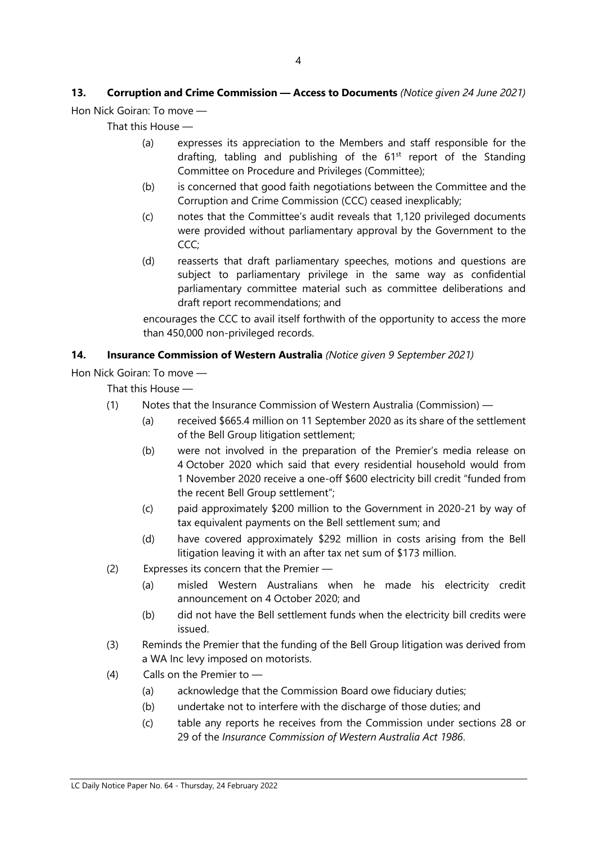# **13. Corruption and Crime Commission — Access to Documents** *(Notice given 24 June 2021)*

Hon Nick Goiran: To move —

That this House —

- (a) expresses its appreciation to the Members and staff responsible for the drafting, tabling and publishing of the  $61<sup>st</sup>$  report of the Standing Committee on Procedure and Privileges (Committee);
- (b) is concerned that good faith negotiations between the Committee and the Corruption and Crime Commission (CCC) ceased inexplicably;
- (c) notes that the Committee's audit reveals that 1,120 privileged documents were provided without parliamentary approval by the Government to the CCC;
- (d) reasserts that draft parliamentary speeches, motions and questions are subject to parliamentary privilege in the same way as confidential parliamentary committee material such as committee deliberations and draft report recommendations; and

encourages the CCC to avail itself forthwith of the opportunity to access the more than 450,000 non-privileged records.

# **14. Insurance Commission of Western Australia** *(Notice given 9 September 2021)*

Hon Nick Goiran: To move —

That this House —

- (1) Notes that the Insurance Commission of Western Australia (Commission)
	- (a) received \$665.4 million on 11 September 2020 as its share of the settlement of the Bell Group litigation settlement;
	- (b) were not involved in the preparation of the Premier's media release on 4 October 2020 which said that every residential household would from 1 November 2020 receive a one-off \$600 electricity bill credit "funded from the recent Bell Group settlement";
	- (c) paid approximately \$200 million to the Government in 2020-21 by way of tax equivalent payments on the Bell settlement sum; and
	- (d) have covered approximately \$292 million in costs arising from the Bell litigation leaving it with an after tax net sum of \$173 million.
- (2) Expresses its concern that the Premier
	- (a) misled Western Australians when he made his electricity credit announcement on 4 October 2020; and
	- (b) did not have the Bell settlement funds when the electricity bill credits were issued.
- (3) Reminds the Premier that the funding of the Bell Group litigation was derived from a WA Inc levy imposed on motorists.
- (4) Calls on the Premier to
	- (a) acknowledge that the Commission Board owe fiduciary duties;
	- (b) undertake not to interfere with the discharge of those duties; and
	- (c) table any reports he receives from the Commission under sections 28 or 29 of the *Insurance Commission of Western Australia Act 1986*.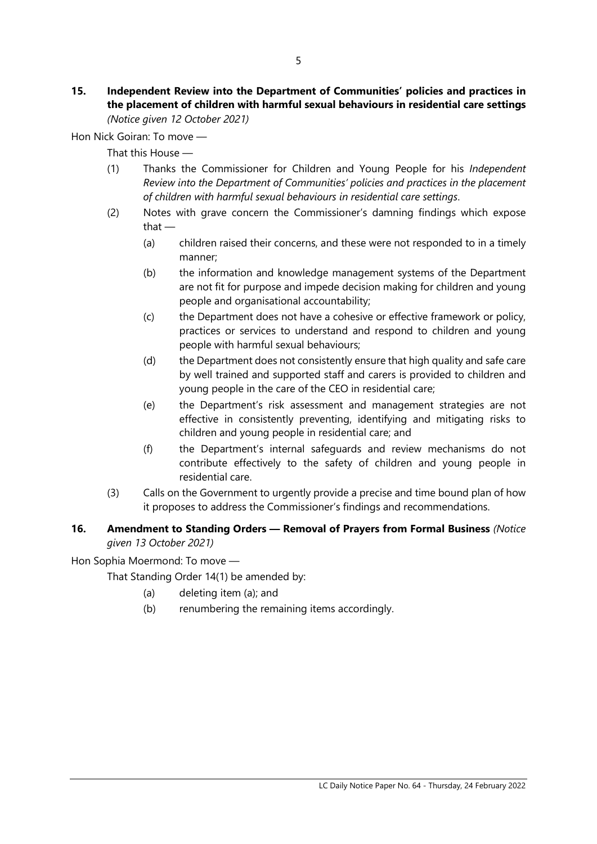**15. Independent Review into the Department of Communities' policies and practices in the placement of children with harmful sexual behaviours in residential care settings** *(Notice given 12 October 2021)*

Hon Nick Goiran: To move —

That this House —

- (1) Thanks the Commissioner for Children and Young People for his *Independent Review into the Department of Communities' policies and practices in the placement of children with harmful sexual behaviours in residential care settings*.
- (2) Notes with grave concern the Commissioner's damning findings which expose that —
	- (a) children raised their concerns, and these were not responded to in a timely manner;
	- (b) the information and knowledge management systems of the Department are not fit for purpose and impede decision making for children and young people and organisational accountability;
	- (c) the Department does not have a cohesive or effective framework or policy, practices or services to understand and respond to children and young people with harmful sexual behaviours;
	- (d) the Department does not consistently ensure that high quality and safe care by well trained and supported staff and carers is provided to children and young people in the care of the CEO in residential care;
	- (e) the Department's risk assessment and management strategies are not effective in consistently preventing, identifying and mitigating risks to children and young people in residential care; and
	- (f) the Department's internal safeguards and review mechanisms do not contribute effectively to the safety of children and young people in residential care.
- (3) Calls on the Government to urgently provide a precise and time bound plan of how it proposes to address the Commissioner's findings and recommendations.

# **16. Amendment to Standing Orders — Removal of Prayers from Formal Business** *(Notice given 13 October 2021)*

Hon Sophia Moermond: To move —

That Standing Order 14(1) be amended by:

- (a) deleting item (a); and
- (b) renumbering the remaining items accordingly.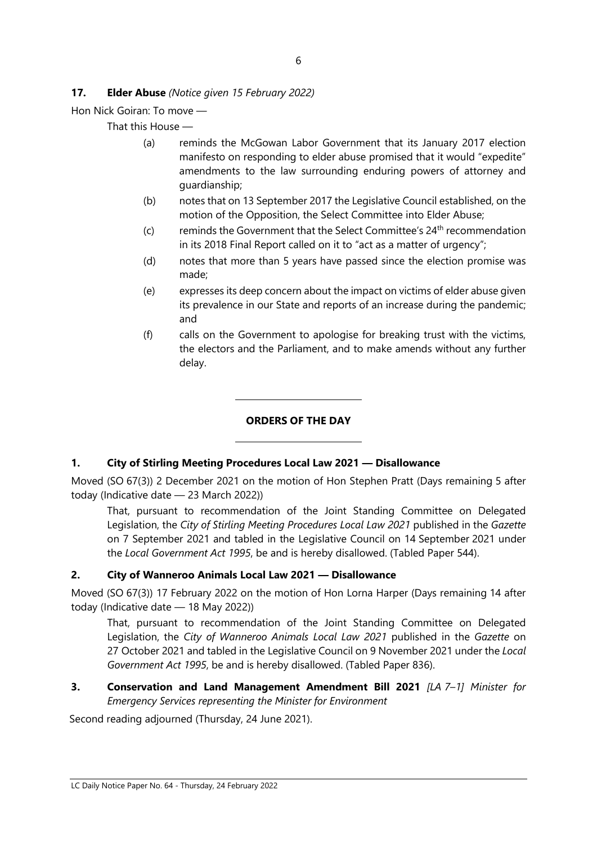# **17. Elder Abuse** *(Notice given 15 February 2022)*

Hon Nick Goiran: To move —

That this House —

- (a) reminds the McGowan Labor Government that its January 2017 election manifesto on responding to elder abuse promised that it would "expedite" amendments to the law surrounding enduring powers of attorney and guardianship;
- (b) notes that on 13 September 2017 the Legislative Council established, on the motion of the Opposition, the Select Committee into Elder Abuse;
- (c) reminds the Government that the Select Committee's  $24<sup>th</sup>$  recommendation in its 2018 Final Report called on it to "act as a matter of urgency";
- (d) notes that more than 5 years have passed since the election promise was made;
- (e) expresses its deep concern about the impact on victims of elder abuse given its prevalence in our State and reports of an increase during the pandemic; and
- (f) calls on the Government to apologise for breaking trust with the victims, the electors and the Parliament, and to make amends without any further delay.

# **ORDERS OF THE DAY**

# **1. City of Stirling Meeting Procedures Local Law 2021 — Disallowance**

 $\overline{\phantom{a}}$ 

 $\overline{\phantom{a}}$ 

Moved (SO 67(3)) 2 December 2021 on the motion of Hon Stephen Pratt (Days remaining 5 after today (Indicative date — 23 March 2022))

That, pursuant to recommendation of the Joint Standing Committee on Delegated Legislation, the *City of Stirling Meeting Procedures Local Law 2021* published in the *Gazette* on 7 September 2021 and tabled in the Legislative Council on 14 September 2021 under the *Local Government Act 1995*, be and is hereby disallowed. (Tabled Paper 544).

#### **2. City of Wanneroo Animals Local Law 2021 — Disallowance**

Moved (SO 67(3)) 17 February 2022 on the motion of Hon Lorna Harper (Days remaining 14 after today (Indicative date — 18 May 2022))

That, pursuant to recommendation of the Joint Standing Committee on Delegated Legislation, the *City of Wanneroo Animals Local Law 2021* published in the *Gazette* on 27 October 2021 and tabled in the Legislative Council on 9 November 2021 under the *Local Government Act 1995*, be and is hereby disallowed. (Tabled Paper 836).

# **3. Conservation and Land Management Amendment Bill 2021** *[LA 7–1] Minister for Emergency Services representing the Minister for Environment*

Second reading adjourned (Thursday, 24 June 2021).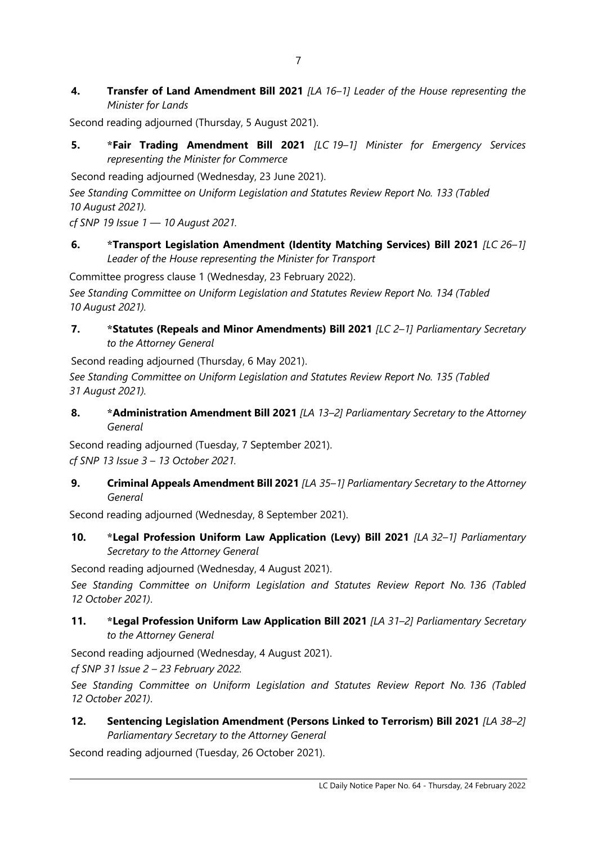**4. Transfer of Land Amendment Bill 2021** *[LA 16–1] Leader of the House representing the Minister for Lands*

Second reading adjourned (Thursday, 5 August 2021).

**5. \*Fair Trading Amendment Bill 2021** *[LC 19–1] Minister for Emergency Services representing the Minister for Commerce*

Second reading adjourned (Wednesday, 23 June 2021).

*See Standing Committee on Uniform Legislation and Statutes Review Report No. 133 (Tabled 10 August 2021).*

*cf SNP 19 Issue 1 — 10 August 2021.*

**6. \*Transport Legislation Amendment (Identity Matching Services) Bill 2021** *[LC 26–1] Leader of the House representing the Minister for Transport*

Committee progress clause 1 (Wednesday, 23 February 2022).

*See Standing Committee on Uniform Legislation and Statutes Review Report No. 134 (Tabled 10 August 2021).*

**7. \*Statutes (Repeals and Minor Amendments) Bill 2021** *[LC 2–1] Parliamentary Secretary to the Attorney General*

Second reading adjourned (Thursday, 6 May 2021).

*See Standing Committee on Uniform Legislation and Statutes Review Report No. 135 (Tabled 31 August 2021).*

**8. \*Administration Amendment Bill 2021** *[LA 13–2] Parliamentary Secretary to the Attorney General*

Second reading adjourned (Tuesday, 7 September 2021). *cf SNP 13 Issue 3 – 13 October 2021.*

**9. Criminal Appeals Amendment Bill 2021** *[LA 35–1] Parliamentary Secretary to the Attorney General*

Second reading adjourned (Wednesday, 8 September 2021).

**10. \*Legal Profession Uniform Law Application (Levy) Bill 2021** *[LA 32–1] Parliamentary Secretary to the Attorney General*

Second reading adjourned (Wednesday, 4 August 2021).

*See Standing Committee on Uniform Legislation and Statutes Review Report No. 136 (Tabled 12 October 2021)*.

**11. \*Legal Profession Uniform Law Application Bill 2021** *[LA 31–2] Parliamentary Secretary to the Attorney General*

Second reading adjourned (Wednesday, 4 August 2021).

*cf SNP 31 Issue 2 – 23 February 2022.*

*See Standing Committee on Uniform Legislation and Statutes Review Report No. 136 (Tabled 12 October 2021)*.

**12. Sentencing Legislation Amendment (Persons Linked to Terrorism) Bill 2021** *[LA 38–2] Parliamentary Secretary to the Attorney General*

Second reading adjourned (Tuesday, 26 October 2021).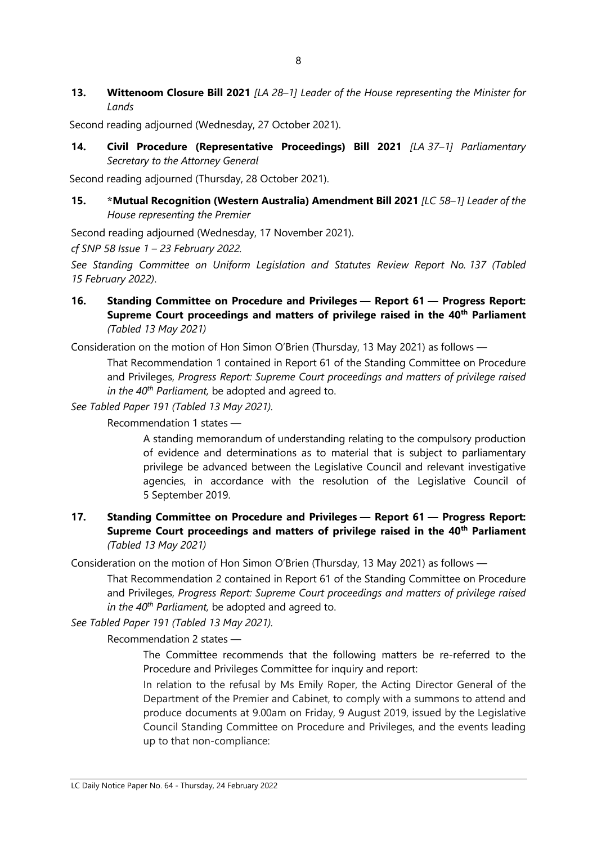**13. Wittenoom Closure Bill 2021** *[LA 28–1] Leader of the House representing the Minister for Lands*

Second reading adjourned (Wednesday, 27 October 2021).

**14. Civil Procedure (Representative Proceedings) Bill 2021** *[LA 37–1] Parliamentary Secretary to the Attorney General*

Second reading adjourned (Thursday, 28 October 2021).

**15. \*Mutual Recognition (Western Australia) Amendment Bill 2021** *[LC 58–1] Leader of the House representing the Premier*

Second reading adjourned (Wednesday, 17 November 2021).

*cf SNP 58 Issue 1 – 23 February 2022.*

*See Standing Committee on Uniform Legislation and Statutes Review Report No. 137 (Tabled 15 February 2022)*.

**16. Standing Committee on Procedure and Privileges — Report 61 — Progress Report: Supreme Court proceedings and matters of privilege raised in the 40th Parliament** *(Tabled 13 May 2021)*

Consideration on the motion of Hon Simon O'Brien (Thursday, 13 May 2021) as follows —

That Recommendation 1 contained in Report 61 of the Standing Committee on Procedure and Privileges, *Progress Report: Supreme Court proceedings and matters of privilege raised in the 40th Parliament,* be adopted and agreed to.

*See Tabled Paper 191 (Tabled 13 May 2021).*

Recommendation 1 states —

A standing memorandum of understanding relating to the compulsory production of evidence and determinations as to material that is subject to parliamentary privilege be advanced between the Legislative Council and relevant investigative agencies, in accordance with the resolution of the Legislative Council of 5 September 2019.

#### **17. Standing Committee on Procedure and Privileges — Report 61 — Progress Report: Supreme Court proceedings and matters of privilege raised in the 40th Parliament** *(Tabled 13 May 2021)*

Consideration on the motion of Hon Simon O'Brien (Thursday, 13 May 2021) as follows —

That Recommendation 2 contained in Report 61 of the Standing Committee on Procedure and Privileges, *Progress Report: Supreme Court proceedings and matters of privilege raised in the 40th Parliament,* be adopted and agreed to.

*See Tabled Paper 191 (Tabled 13 May 2021).*

Recommendation 2 states —

The Committee recommends that the following matters be re-referred to the Procedure and Privileges Committee for inquiry and report:

In relation to the refusal by Ms Emily Roper, the Acting Director General of the Department of the Premier and Cabinet, to comply with a summons to attend and produce documents at 9.00am on Friday, 9 August 2019, issued by the Legislative Council Standing Committee on Procedure and Privileges, and the events leading up to that non-compliance: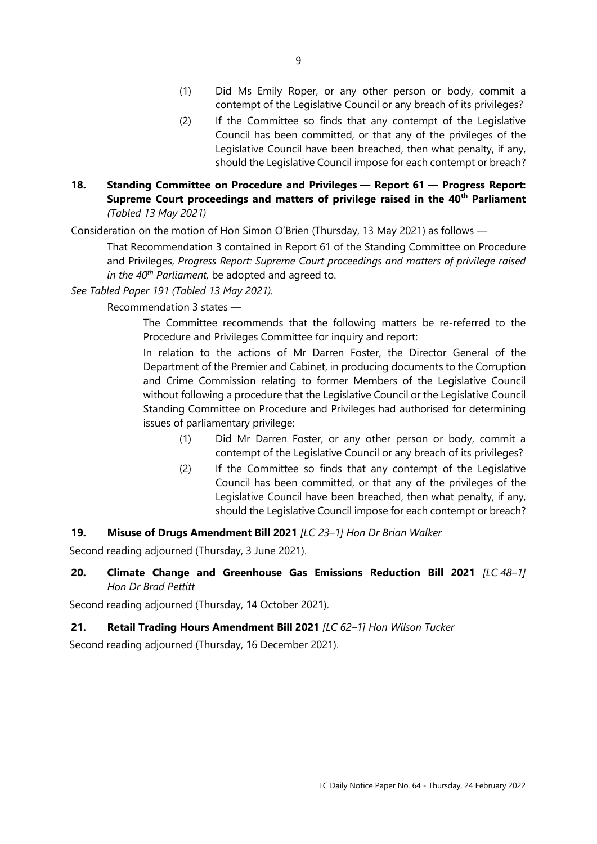- (1) Did Ms Emily Roper, or any other person or body, commit a contempt of the Legislative Council or any breach of its privileges?
- (2) If the Committee so finds that any contempt of the Legislative Council has been committed, or that any of the privileges of the Legislative Council have been breached, then what penalty, if any, should the Legislative Council impose for each contempt or breach?
- **18. Standing Committee on Procedure and Privileges — Report 61 — Progress Report: Supreme Court proceedings and matters of privilege raised in the 40th Parliament** *(Tabled 13 May 2021)*

Consideration on the motion of Hon Simon O'Brien (Thursday, 13 May 2021) as follows —

That Recommendation 3 contained in Report 61 of the Standing Committee on Procedure and Privileges, *Progress Report: Supreme Court proceedings and matters of privilege raised in the 40th Parliament,* be adopted and agreed to.

*See Tabled Paper 191 (Tabled 13 May 2021).*

Recommendation 3 states —

The Committee recommends that the following matters be re-referred to the Procedure and Privileges Committee for inquiry and report:

In relation to the actions of Mr Darren Foster, the Director General of the Department of the Premier and Cabinet, in producing documents to the Corruption and Crime Commission relating to former Members of the Legislative Council without following a procedure that the Legislative Council or the Legislative Council Standing Committee on Procedure and Privileges had authorised for determining issues of parliamentary privilege:

- (1) Did Mr Darren Foster, or any other person or body, commit a contempt of the Legislative Council or any breach of its privileges?
- (2) If the Committee so finds that any contempt of the Legislative Council has been committed, or that any of the privileges of the Legislative Council have been breached, then what penalty, if any, should the Legislative Council impose for each contempt or breach?

# **19. Misuse of Drugs Amendment Bill 2021** *[LC 23–1] Hon Dr Brian Walker*

Second reading adjourned (Thursday, 3 June 2021).

**20. Climate Change and Greenhouse Gas Emissions Reduction Bill 2021** *[LC 48–1] Hon Dr Brad Pettitt*

Second reading adjourned (Thursday, 14 October 2021).

# **21. Retail Trading Hours Amendment Bill 2021** *[LC 62–1] Hon Wilson Tucker*

Second reading adjourned (Thursday, 16 December 2021).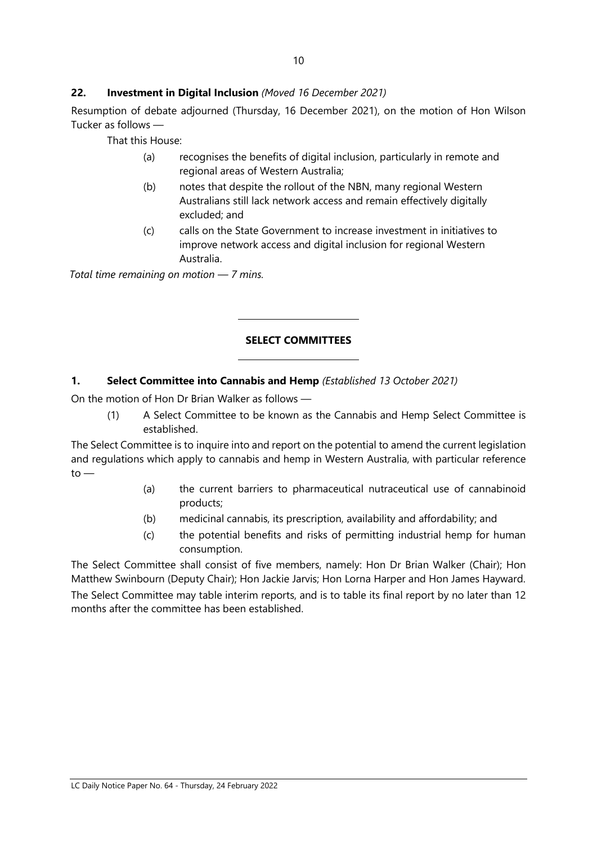## **22. Investment in Digital Inclusion** *(Moved 16 December 2021)*

Resumption of debate adjourned (Thursday, 16 December 2021), on the motion of Hon Wilson Tucker as follows —

That this House:

- (a) recognises the benefits of digital inclusion, particularly in remote and regional areas of Western Australia;
- (b) notes that despite the rollout of the NBN, many regional Western Australians still lack network access and remain effectively digitally excluded; and
- (c) calls on the State Government to increase investment in initiatives to improve network access and digital inclusion for regional Western Australia.

*Total time remaining on motion — 7 mins.*

#### **SELECT COMMITTEES**

#### **1. Select Committee into Cannabis and Hemp** *(Established 13 October 2021)*

 $\overline{a}$ 

 $\overline{a}$ 

On the motion of Hon Dr Brian Walker as follows —

(1) A Select Committee to be known as the Cannabis and Hemp Select Committee is established.

The Select Committee is to inquire into and report on the potential to amend the current legislation and regulations which apply to cannabis and hemp in Western Australia, with particular reference  $to -$ 

- (a) the current barriers to pharmaceutical nutraceutical use of cannabinoid products;
- (b) medicinal cannabis, its prescription, availability and affordability; and
- (c) the potential benefits and risks of permitting industrial hemp for human consumption.

The Select Committee shall consist of five members, namely: Hon Dr Brian Walker (Chair); Hon Matthew Swinbourn (Deputy Chair); Hon Jackie Jarvis; Hon Lorna Harper and Hon James Hayward. The Select Committee may table interim reports, and is to table its final report by no later than 12 months after the committee has been established.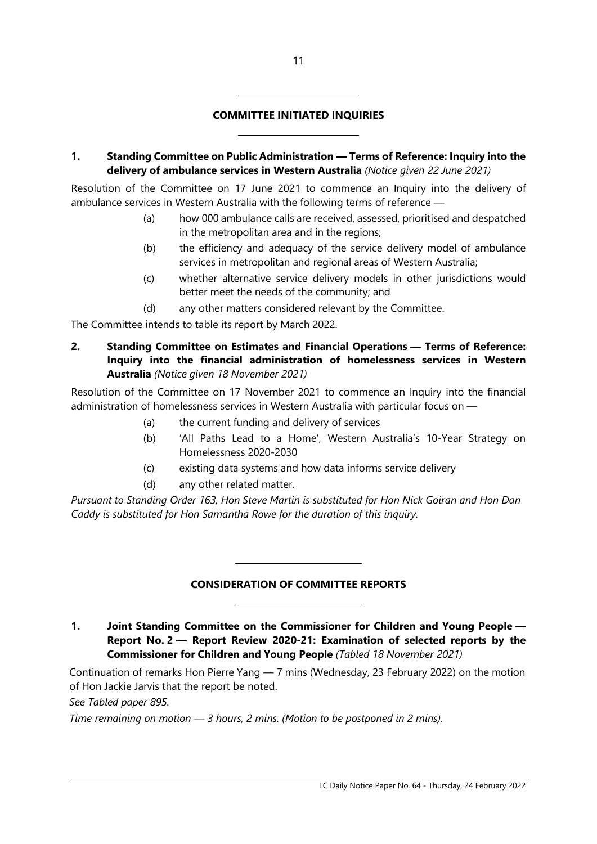# **COMMITTEE INITIATED INQUIRIES**

 $\overline{a}$ 

 $\overline{a}$ 

**1. Standing Committee on Public Administration — Terms of Reference: Inquiry into the delivery of ambulance services in Western Australia** *(Notice given 22 June 2021)*

Resolution of the Committee on 17 June 2021 to commence an Inquiry into the delivery of ambulance services in Western Australia with the following terms of reference —

- (a) how 000 ambulance calls are received, assessed, prioritised and despatched in the metropolitan area and in the regions;
- (b) the efficiency and adequacy of the service delivery model of ambulance services in metropolitan and regional areas of Western Australia;
- (c) whether alternative service delivery models in other jurisdictions would better meet the needs of the community; and
- (d) any other matters considered relevant by the Committee.

The Committee intends to table its report by March 2022.

**2. Standing Committee on Estimates and Financial Operations — Terms of Reference: Inquiry into the financial administration of homelessness services in Western Australia** *(Notice given 18 November 2021)*

Resolution of the Committee on 17 November 2021 to commence an Inquiry into the financial administration of homelessness services in Western Australia with particular focus on —

- (a) the current funding and delivery of services
- (b) 'All Paths Lead to a Home', Western Australia's 10-Year Strategy on Homelessness 2020-2030
- (c) existing data systems and how data informs service delivery
- (d) any other related matter.

 $\overline{\phantom{a}}$ 

 $\overline{\phantom{a}}$ 

*Pursuant to Standing Order 163, Hon Steve Martin is substituted for Hon Nick Goiran and Hon Dan Caddy is substituted for Hon Samantha Rowe for the duration of this inquiry.*

#### **CONSIDERATION OF COMMITTEE REPORTS**

**1. Joint Standing Committee on the Commissioner for Children and Young People — Report No. 2 — Report Review 2020-21: Examination of selected reports by the Commissioner for Children and Young People** *(Tabled 18 November 2021)*

Continuation of remarks Hon Pierre Yang — 7 mins (Wednesday, 23 February 2022) on the motion of Hon Jackie Jarvis that the report be noted.

*See Tabled paper 895.*

*Time remaining on motion — 3 hours, 2 mins. (Motion to be postponed in 2 mins).*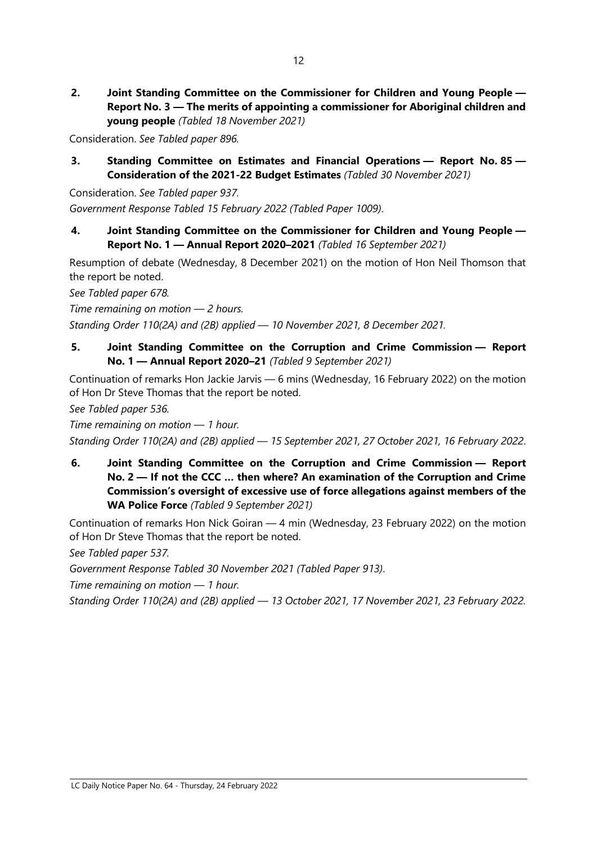**2. Joint Standing Committee on the Commissioner for Children and Young People — Report No. 3 — The merits of appointing a commissioner for Aboriginal children and young people** *(Tabled 18 November 2021)*

Consideration. *See Tabled paper 896.*

**3. Standing Committee on Estimates and Financial Operations — Report No. 85 — Consideration of the 2021-22 Budget Estimates** *(Tabled 30 November 2021)*

Consideration. *See Tabled paper 937. Government Response Tabled 15 February 2022 (Tabled Paper 1009)*.

**4. Joint Standing Committee on the Commissioner for Children and Young People — Report No. 1 — Annual Report 2020–2021** *(Tabled 16 September 2021)*

Resumption of debate (Wednesday, 8 December 2021) on the motion of Hon Neil Thomson that the report be noted.

*See Tabled paper 678.*

*Time remaining on motion — 2 hours.* 

*Standing Order 110(2A) and (2B) applied — 10 November 2021, 8 December 2021.*

**5. Joint Standing Committee on the Corruption and Crime Commission — Report No. 1 — Annual Report 2020–21** *(Tabled 9 September 2021)*

Continuation of remarks Hon Jackie Jarvis — 6 mins (Wednesday, 16 February 2022) on the motion of Hon Dr Steve Thomas that the report be noted.

*See Tabled paper 536.*

*Time remaining on motion — 1 hour.* 

*Standing Order 110(2A) and (2B) applied — 15 September 2021, 27 October 2021, 16 February 2022*.

**6. Joint Standing Committee on the Corruption and Crime Commission — Report No. 2 — If not the CCC … then where? An examination of the Corruption and Crime Commission's oversight of excessive use of force allegations against members of the WA Police Force** *(Tabled 9 September 2021)*

Continuation of remarks Hon Nick Goiran — 4 min (Wednesday, 23 February 2022) on the motion of Hon Dr Steve Thomas that the report be noted.

*See Tabled paper 537.*

*Government Response Tabled 30 November 2021 (Tabled Paper 913)*.

*Time remaining on motion — 1 hour.*

*Standing Order 110(2A) and (2B) applied — 13 October 2021, 17 November 2021, 23 February 2022.*